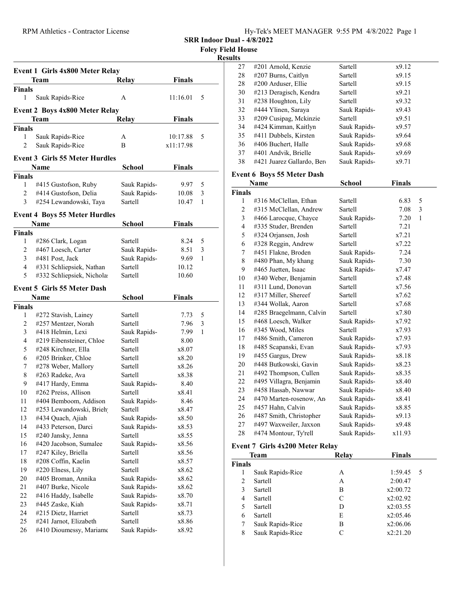| Hv-Tek's MEET MANAGER 9:55 PM 4/8/2022 Page 1 |  |  |  |
|-----------------------------------------------|--|--|--|
|                                               |  |  |  |

SRR Indoor Dual - 4/8/2022

Foley Field House

#### Results

|                | Event 1 Girls 4x800 Meter Relay          |                         |               |        |
|----------------|------------------------------------------|-------------------------|---------------|--------|
|                | Team                                     | <b>Relay</b>            | <b>Finals</b> |        |
| <b>Finals</b>  |                                          |                         |               |        |
| 1              | Sauk Rapids-Rice                         | A                       | 11:16.01      | 5      |
|                | <b>Event 2 Boys 4x800 Meter Relay</b>    |                         |               |        |
|                | Team                                     | Relay                   | <b>Finals</b> |        |
| <b>Finals</b>  |                                          |                         |               |        |
| 1              | Sauk Rapids-Rice                         | А                       | 10:17.88      | 5      |
| $\overline{c}$ | Sauk Rapids-Rice                         | B                       | x11:17.98     |        |
|                |                                          |                         |               |        |
|                | <b>Event 3 Girls 55 Meter Hurdles</b>    |                         |               |        |
|                | Name                                     | School                  | <b>Finals</b> |        |
| <b>Finals</b>  |                                          |                         |               |        |
| 1              | #415 Gustofson, Ruby                     | Sauk Rapids-            | 9.97          | 5      |
| 2              | #414 Gustofson, Delia                    | Sauk Rapids-            | 10.08         | 3      |
| 3              | #254 Lewandowski, Taya                   | Sartell                 | 10.47         | 1      |
|                | <b>Event 4 Boys 55 Meter Hurdles</b>     |                         |               |        |
|                | Name                                     | <b>School</b>           | <b>Finals</b> |        |
| <b>Finals</b>  |                                          |                         |               |        |
| 1              | #286 Clark, Logan                        | Sartell                 | 8.24          | 5      |
| $\overline{2}$ | #467 Loesch, Carter                      | Sauk Rapids-            | 8.51          | 3      |
| 3              | #481 Post, Jack                          | Sauk Rapids-            | 9.69          | 1      |
| 4              | #331 Schliepsiek, Nathan                 | Sartell                 | 10.12         |        |
| 5              | #332 Schliepsiek, Nichola                | Sartell                 | 10.60         |        |
|                |                                          |                         |               |        |
|                | <b>Event 5 Girls 55 Meter Dash</b>       |                         |               |        |
|                | <b>Name</b>                              | School                  | <b>Finals</b> |        |
| <b>Finals</b>  |                                          |                         |               |        |
| 1              | #272 Stavish, Lainey                     | Sartell                 | 7.73          | 5      |
| 2<br>3         | #257 Mentzer, Norah<br>#418 Helmin, Lexi | Sartell                 | 7.96          | 3<br>1 |
| 4              | #219 Eibensteiner, Chloe                 | Sauk Rapids-<br>Sartell | 7.99<br>8.00  |        |
| 5              | #248 Kirchner, Ella                      | Sartell                 | x8.07         |        |
| 6              | #205 Brinker, Chloe                      | Sartell                 | x8.20         |        |
| 7              | #278 Weber, Mallory                      | Sartell                 | x8.26         |        |
| 8              | #263 Radeke, Ava                         | Sartell                 | x8.38         |        |
| 9              | #417 Hardy, Emma                         | Sauk Rapids-            | 8.40          |        |
| 10             | #262 Preiss, Allison                     | Sartell                 | x8.41         |        |
| 11             | #404 Bemboom, Addison                    | Sauk Rapids-            | 8.46          |        |
| 12             | #253 Lewandowski, Brieh                  | Sartell                 | x8.47         |        |
| 13             | #434 Quach, Ajiah                        | Sauk Rapids-            | x8.50         |        |
| 14             | #433 Peterson, Darci                     | Sauk Rapids-            | x8.53         |        |
| 15             | #240 Jansky, Jenna                       | Sartell                 | x8.55         |        |
| 16             | #420 Jacobson, Sumalee                   | Sauk Rapids-            | x8.56         |        |
| 17             | #247 Kiley, Briella                      | Sartell                 | x8.56         |        |
| 18             | #208 Coffin, Kaelin                      | Sartell                 | x8.57         |        |
| 19             | #220 Elness, Lily                        | Sartell                 | x8.62         |        |
| 20             | #405 Broman, Annika                      | Sauk Rapids-            | x8.62         |        |
| 21             | #407 Burke, Nicole                       | Sauk Rapids-            | x8.62         |        |
| 22             | #416 Haddy, Isabelle                     | Sauk Rapids-            | x8.70         |        |
| 23             | #445 Zaske, Kiah                         | Sauk Rapids-            | x8.71         |        |
| 24             | #215 Dietz, Harriet                      | Sartell                 | x8.73         |        |
| 25             | #241 Jarnot, Elizabeth                   | Sartell                 | x8.86         |        |
| 26             | #410 Dioumessy, Mariame                  | Sauk Rapids-            | x8.92         |        |
|                |                                          |                         |               |        |

| 27 | #201 Arnold, Kenzie        | Sartell      | x9.12 |  |
|----|----------------------------|--------------|-------|--|
| 28 | #207 Burns, Caitlyn        | Sartell      | x9.15 |  |
| 28 | #200 Arduser, Ellie        | Sartell      | x9.15 |  |
| 30 | #213 Deragisch, Kendra     | Sartell      | x9.21 |  |
| 31 | #238 Houghton, Lily        | Sartell      | x9.32 |  |
| 32 | #444 Ylinen, Saraya        | Sauk Rapids- | x9.43 |  |
| 33 | #209 Cusipag, Mckinzie     | Sartell      | x9.51 |  |
| 34 | #424 Kimman, Kaitlyn       | Sauk Rapids- | x9.57 |  |
| 35 | #411 Dubbels, Kirsten      | Sauk Rapids- | x9.64 |  |
| 36 | #406 Buchert, Halle        | Sauk Rapids- | x9.68 |  |
| 37 | #401 Andvik, Brielle       | Sauk Rapids- | x9.69 |  |
| 38 | #421 Juarez Gallardo, Bero | Sauk Rapids- | x9.71 |  |
|    |                            |              |       |  |

### Event 6 Boys 55 Meter Dash

|                | Name                     | School       | Finals |   |
|----------------|--------------------------|--------------|--------|---|
| <b>Finals</b>  |                          |              |        |   |
| 1              | #316 McClellan, Ethan    | Sartell      | 6.83   | 5 |
| 2              | #315 McClellan, Andrew   | Sartell      | 7.08   | 3 |
| 3              | #466 Larocque, Chayce    | Sauk Rapids- | 7.20   | 1 |
| $\overline{4}$ | #335 Studer, Brenden     | Sartell      | 7.21   |   |
| 5              | #324 Orjansen, Josh      | Sartell      | x7.21  |   |
| 6              | #328 Reggin, Andrew      | Sartell      | x7.22  |   |
| 7              | #451 Flakne, Broden      | Sauk Rapids- | 7.24   |   |
| 8              | #480 Phan, My khang      | Sauk Rapids- | 7.30   |   |
| 9              | #465 Juetten, Isaac      | Sauk Rapids- | x7.47  |   |
| 10             | #340 Weber, Benjamin     | Sartell      | x7.48  |   |
| 11             | #311 Lund, Donovan       | Sartell      | x7.56  |   |
| 12             | #317 Miller, Shereef     | Sartell      | x7.62  |   |
| 13             | #344 Wollak, Aaron       | Sartell      | x7.68  |   |
| 14             | #285 Braegelmann, Calvin | Sartell      | x7.80  |   |
| 15             | #468 Loesch, Walker      | Sauk Rapids- | x7.92  |   |
| 16             | #345 Wood, Miles         | Sartell      | x7.93  |   |
| 17             | #486 Smith, Cameron      | Sauk Rapids- | x7.93  |   |
| 18             | #485 Scapanski, Evan     | Sauk Rapids- | x7.93  |   |
| 19             | #455 Gargus, Drew        | Sauk Rapids- | x8.18  |   |
| 20             | #448 Butkowski, Gavin    | Sauk Rapids- | x8.23  |   |
| 21             | #492 Thompson, Cullen    | Sauk Rapids- | x8.35  |   |
| 22             | #495 Villagra, Benjamin  | Sauk Rapids- | x8.40  |   |
| 23             | #458 Hassab, Nawwar      | Sauk Rapids- | x8.40  |   |
| 24             | #470 Marten-rosenow, An  | Sauk Rapids- | x8.41  |   |
| 25             | #457 Hahn, Calvin        | Sauk Rapids- | x8.85  |   |
| 26             | #487 Smith, Christopher  | Sauk Rapids- | x9.13  |   |
| 27             | #497 Waxweiler, Jaxxon   | Sauk Rapids- | x9.48  |   |
| 28             | #474 Montour, Ty'rell    | Sauk Rapids- | x11.93 |   |

### Event 7 Girls 4x200 Meter Relay

|               | Relay<br><b>Team</b> |   | <b>Finals</b> |
|---------------|----------------------|---|---------------|
| <b>Finals</b> |                      |   |               |
| 1             | Sauk Rapids-Rice     | А | 1:59.45<br>-5 |
| 2             | Sartell              | А | 2:00.47       |
| 3             | Sartell              | В | x2:00.72      |
| 4             | Sartell              | C | x2:02.92      |
| 5             | Sartell              | D | x2:03.55      |
| 6             | Sartell              | E | x2:05.46      |
| 7             | Sauk Rapids-Rice     | В | x2:06.06      |
| 8             | Sauk Rapids-Rice     | C | x2:21.20      |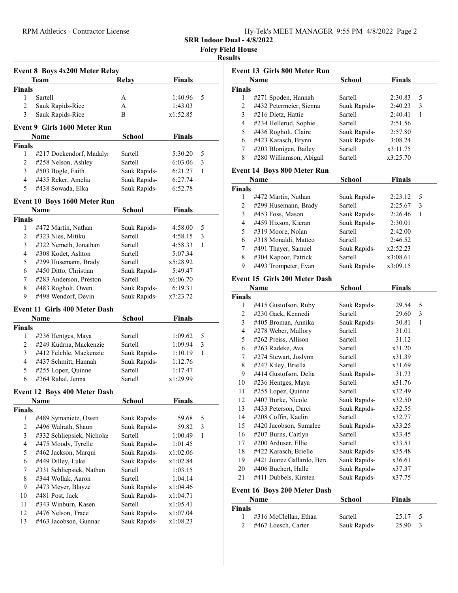| Hy-Tek's MEET MANAGER 9:55 PM 4/8/2022 Page 2 |  |  |
|-----------------------------------------------|--|--|
|                                               |  |  |

SRR Indoor Dual - 4/8/2022

Foley Field House

#### Results

| Event 8 Boys 4x200 Meter Relay |                                      |               |               |   |
|--------------------------------|--------------------------------------|---------------|---------------|---|
|                                | Team                                 | <b>Relay</b>  | <b>Finals</b> |   |
| <b>Finals</b>                  |                                      |               |               |   |
| 1                              | Sartell                              | А             | 1:40.96       | 5 |
| $\overline{2}$                 | Sauk Rapids-Rice                     | A             | 1:43.03       |   |
| 3                              | Sauk Rapids-Rice                     | B             | x1:52.85      |   |
|                                | <b>Event 9 Girls 1600 Meter Run</b>  |               |               |   |
|                                | Name                                 | <b>School</b> | <b>Finals</b> |   |
| <b>Finals</b>                  |                                      |               |               |   |
| 1                              | #217 Dockendorf, Madaly              | Sartell       | 5:30.20       | 5 |
| $\overline{c}$                 | #258 Nelson, Ashley                  | Sartell       | 6:03.06       | 3 |
| 3                              | #503 Bogle, Faith                    | Sauk Rapids-  | 6:21.27       | 1 |
| $\overline{4}$                 | #435 Reker, Amelia                   | Sauk Rapids-  | 6:27.74       |   |
| 5                              | #438 Sowada, Elka                    | Sauk Rapids-  | 6:52.78       |   |
|                                | Event 10 Boys 1600 Meter Run         |               |               |   |
|                                | <b>Name</b>                          | <b>School</b> | <b>Finals</b> |   |
| <b>Finals</b>                  |                                      |               |               |   |
| 1                              | #472 Martin, Nathan                  | Sauk Rapids-  | 4:58.00       | 5 |
| 2                              | #323 Nies, Mitiku                    | Sartell       | 4:58.15       | 3 |
| 3                              | #322 Nemeth, Jonathan                | Sartell       | 4:58.33       | 1 |
| 4                              | #308 Kodet, Ashton                   | Sartell       | 5:07.34       |   |
| 5                              | #299 Husemann, Brady                 | Sartell       | x5:28.92      |   |
| 6                              | #450 Ditto, Christian                | Sauk Rapids-  | 5:49.47       |   |
| $7^{\circ}$                    | #283 Anderson, Preston               | Sartell       | x6:06.70      |   |
| 8                              | #483 Rogholt, Owen                   | Sauk Rapids-  | 6:19.31       |   |
| 9                              | #498 Wendorf, Devin                  | Sauk Rapids-  | x7:23.72      |   |
|                                | <b>Event 11 Girls 400 Meter Dash</b> |               |               |   |
|                                | Name                                 | School        | <b>Finals</b> |   |
| <b>Finals</b>                  |                                      |               |               |   |
| 1                              | #236 Hentges, Maya                   | Sartell       | 1:09.62       | 5 |
| 2                              | #249 Kudrna, Mackenzie               | Sartell       | 1:09.94       | 3 |
| 3                              | #412 Felchle, Mackenzie              | Sauk Rapids-  | 1:10.19       | 1 |
| 4                              | #437 Schmitt, Hannah                 | Sauk Rapids-  | 1:12.76       |   |
| 5                              | #255 Lopez, Quinne                   | Sartell       | 1:17.47       |   |
| 6                              | #264 Rahal, Jenna                    | Sartell       | x1:29.99      |   |
|                                | Event 12 Boys 400 Meter Dash         |               |               |   |
|                                | Name                                 | <b>School</b> | <b>Finals</b> |   |
| <b>Finals</b>                  |                                      |               |               |   |
| 1                              | #489 Symanietz, Owen                 | Sauk Rapids-  | 59.68         | 5 |
| 2                              | #496 Walrath, Shaun                  | Sauk Rapids-  | 59.82         | 3 |
| 3                              | #332 Schliepsiek, Nichola:           | Sartell       | 1:00.49       | 1 |
| $\overline{4}$                 | #475 Moody, Tyrelle                  | Sauk Rapids-  | 1:01.45       |   |
| 5                              | #462 Jackson, Marqui                 | Sauk Rapids-  | x1:02.06      |   |
| 6                              | #449 Dilley, Luke                    | Sauk Rapids-  | x1:02.84      |   |
| 7                              | #331 Schliepsiek, Nathan             | Sartell       | 1:03.15       |   |
| 8                              | #344 Wollak, Aaron                   | Sartell       | 1:04.14       |   |
| 9                              | #473 Meyer, Blayze                   | Sauk Rapids-  | x1:04.46      |   |
| 10                             | #481 Post, Jack                      | Sauk Rapids-  | x1:04.71      |   |
| 11                             | #343 Winburn, Kasen                  | Sartell       | x1:05.41      |   |
| 12                             | #476 Nelson, Trace                   | Sauk Rapids-  | x1:07.04      |   |
| 13                             | #463 Jacobson, Gunnar                | Sauk Rapids-  | x1:08.23      |   |
|                                |                                      |               |               |   |

| <b>Event 13 Girls 800 Meter Run</b> |                                      |               |               |   |  |  |
|-------------------------------------|--------------------------------------|---------------|---------------|---|--|--|
|                                     | Name                                 | <b>School</b> | <b>Finals</b> |   |  |  |
| <b>Finals</b>                       |                                      |               |               |   |  |  |
| 1                                   | #271 Spoden, Hannah                  | Sartell       | 2:30.83       | 5 |  |  |
| 2                                   | #432 Petermeier, Sienna              | Sauk Rapids-  | 2:40.23       | 3 |  |  |
| 3                                   | #216 Dietz, Hattie                   | Sartell       | 2:40.41       | 1 |  |  |
| 4                                   | #234 Hellerud, Sophie                | Sartell       | 2:51.56       |   |  |  |
| 5                                   | #436 Rogholt, Claire                 | Sauk Rapids-  | 2:57.80       |   |  |  |
| 6                                   | #423 Karasch, Brynn                  | Sauk Rapids-  | 3:08.24       |   |  |  |
| 7                                   | #203 Blonigen, Bailey                | Sartell       | x3:11.75      |   |  |  |
| 8                                   | #280 Williamson, Abigail             | Sartell       | x3:25.70      |   |  |  |
|                                     | <b>Event 14 Boys 800 Meter Run</b>   |               |               |   |  |  |
|                                     | Name                                 | School        | <b>Finals</b> |   |  |  |
| <b>Finals</b>                       |                                      |               |               |   |  |  |
| 1                                   | #472 Martin, Nathan                  | Sauk Rapids-  | 2:23.12       | 5 |  |  |
| $\overline{c}$                      | #299 Husemann, Brady                 | Sartell       | 2:25.67       | 3 |  |  |
| 3                                   | #453 Foss, Mason                     | Sauk Rapids-  | 2:26.46       | 1 |  |  |
| $\overline{4}$                      | #459 Hixson, Kieran                  | Sauk Rapids-  | 2:30.01       |   |  |  |
| 5                                   | #319 Moore, Nolan                    | Sartell       | 2:42.00       |   |  |  |
| 6                                   | #318 Monaldi, Matteo                 | Sartell       | 2:46.52       |   |  |  |
| 7                                   | #491 Thayer, Samuel                  | Sauk Rapids-  | x2:52.23      |   |  |  |
| 8                                   | #304 Kapoor, Patrick                 | Sartell       | x3:08.61      |   |  |  |
| 9                                   | #493 Trompeter, Evan                 | Sauk Rapids-  | x3:09.15      |   |  |  |
|                                     | <b>Event 15 Girls 200 Meter Dash</b> |               |               |   |  |  |
|                                     | Name                                 | School        | <b>Finals</b> |   |  |  |
| <b>Finals</b>                       |                                      |               |               |   |  |  |
| 1                                   | #415 Gustofson, Ruby                 | Sauk Rapids-  | 29.54         | 5 |  |  |
| 2                                   | #230 Gack, Kennedi                   | Sartell       | 29.60         | 3 |  |  |
| 3                                   | #405 Broman, Annika                  | Sauk Rapids-  | 30.81         | 1 |  |  |
| 4                                   | #278 Weber, Mallory                  | Sartell       | 31.01         |   |  |  |
| 5                                   | #262 Preiss, Allison                 | Sartell       | 31.12         |   |  |  |
| 6                                   | #263 Radeke, Ava                     | Sartell       | x31.20        |   |  |  |
| 7                                   | #274 Stewart, Joslynn                | Sartell       | x31.39        |   |  |  |
| 8                                   | #247 Kiley, Briella                  | Sartell       | x31.69        |   |  |  |
| 9                                   | #414 Gustofson, Delia                | Sauk Rapids-  | 31.73         |   |  |  |
| 10                                  | #236 Hentges, Maya                   | Sartell       | x31.76        |   |  |  |
| 11                                  | #255 Lopez, Quinne                   | Sartell       | x32.49        |   |  |  |
| 12                                  | #407 Burke, Nicole                   | Sauk Rapids-  | x32.50        |   |  |  |
| 13                                  | #433 Peterson, Darci                 | Sauk Rapids-  | x32.55        |   |  |  |
| 14                                  | #208 Coffin, Kaelin                  | Sartell       | x32.77        |   |  |  |
| 15                                  | #420 Jacobson, Sumalee               | Sauk Rapids-  | x33.25        |   |  |  |
| 16                                  | #207 Burns, Caitlyn                  | Sartell       | x33.45        |   |  |  |
| 17                                  | #200 Arduser, Ellie                  | Sartell       | x33.51        |   |  |  |
| 18                                  | #422 Karasch, Brielle                | Sauk Rapids-  | x35.48        |   |  |  |
| 19                                  | #421 Juarez Gallardo, Bero           | Sauk Rapids-  | x36.61        |   |  |  |
| 20                                  | #406 Buchert, Halle                  | Sauk Rapids-  | x37.37        |   |  |  |
| 21                                  | #411 Dubbels, Kirsten                | Sauk Rapids-  | x37.75        |   |  |  |
|                                     | <b>Event 16 Boys 200 Meter Dash</b>  |               |               |   |  |  |
|                                     | Name                                 | <b>School</b> | <b>Finals</b> |   |  |  |
| <b>Finals</b>                       |                                      |               |               |   |  |  |

| ∛inals |                         |              |         |  |
|--------|-------------------------|--------------|---------|--|
|        | 1 #316 McClellan, Ethan | Sartell      | 25.17 5 |  |
|        | 2 #467 Loesch, Carter   | Sauk Rapids- | 25.90 3 |  |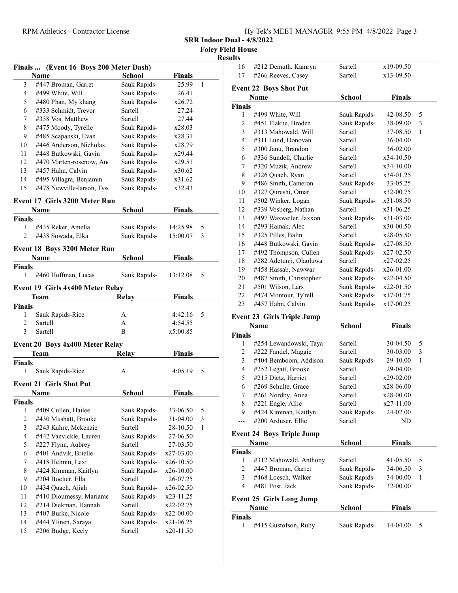| Hy-Tek's MEET MANAGER 9:55 PM 4/8/2022 Page 3 |  |  |
|-----------------------------------------------|--|--|
|                                               |  |  |

SRR Indoor Dual - 4/8/2022

Foley Field House Results

|                         | Finals  (Event 16 Boys 200 Meter Dash)               |                         |               | г            |
|-------------------------|------------------------------------------------------|-------------------------|---------------|--------------|
|                         | Name                                                 | School                  | Finals        |              |
| 3                       | #447 Broman, Garret                                  | Sauk Rapids-            | 25.99         | 1            |
| 4                       | #499 White, Will                                     | Sauk Rapids-            | 26.41         |              |
| 5                       | #480 Phan, My khang                                  | Sauk Rapids-            | x26.72        |              |
| 6                       | #333 Schmidt, Trevor                                 | Sartell                 | 27.24         |              |
| 7                       | #338 Vos, Matthew                                    | Sartell                 | 27.44         |              |
| 8                       | #475 Moody, Tyrelle                                  | Sauk Rapids-            | x28.03        |              |
| 9                       | #485 Scapanski, Evan                                 | Sauk Rapids-            | x28.37        |              |
| 10                      | #446 Anderson, Nicholas                              | Sauk Rapids-            | x28.79        |              |
| 11                      | #448 Butkowski, Gavin                                | Sauk Rapids-            | x29.44        |              |
| 12                      | #470 Marten-rosenow, An                              | Sauk Rapids-            | x29.51        |              |
| 13                      | #457 Hahn, Calvin                                    | Sauk Rapids-            | x30.62        |              |
| 14                      |                                                      | Sauk Rapids-            | x31.62        |              |
| 15                      | #495 Villagra, Benjamin<br>#478 Newville-larson, Tys | Sauk Rapids-            | x32.43        |              |
|                         |                                                      |                         |               |              |
|                         | <b>Event 17 Girls 3200 Meter Run</b>                 |                         |               |              |
|                         | Name                                                 | School                  | Finals        |              |
| <b>Finals</b>           |                                                      |                         |               |              |
| $\mathbf{1}$            | #435 Reker, Amelia                                   | Sauk Rapids-            | 14:25.98      | 5            |
| $\overline{2}$          | #438 Sowada, Elka                                    | Sauk Rapids-            | 15:00.07      | 3            |
|                         | Event 18 Boys 3200 Meter Run                         |                         |               |              |
|                         | Name                                                 | <b>School</b>           | <b>Finals</b> |              |
| <b>Finals</b>           |                                                      |                         |               |              |
| 1                       | #460 Hoffman, Lucas                                  | Sauk Rapids-            | 13:12.08      | 5            |
|                         | Event 19 Girls 4x400 Meter Relay                     |                         |               |              |
|                         |                                                      |                         | <b>Finals</b> |              |
| <b>Finals</b>           | Team                                                 | Relay                   |               |              |
| 1                       | Sauk Rapids-Rice                                     | А                       | 4:42.16       | 5            |
| 2                       | Sartell                                              | A                       | 4:54.55       |              |
| 3                       | Sartell                                              | B                       | x5:00.85      |              |
|                         |                                                      |                         |               |              |
|                         | Event 20 Boys 4x400 Meter Relay                      |                         |               |              |
|                         | <b>Team</b>                                          | <b>Relay</b>            | Finals        |              |
| <b>Finals</b>           |                                                      |                         |               |              |
| 1                       | Sauk Rapids-Rice                                     | A                       | 4:05.19       | 5            |
|                         | <b>Event 21 Girls Shot Put</b>                       |                         |               |              |
|                         | <b>Name</b>                                          | School                  | Finals        |              |
| Finals                  |                                                      |                         |               |              |
| 1                       | #409 Cullen, Hailee                                  | Sauk Rapids-            | 33-06.50      | 5            |
| 2                       | #430 Mushatt, Brooke                                 | Sauk Rapids-            | 31-04.00      | 3            |
| $\overline{\mathbf{3}}$ | #243 Kahre, Mckenzie                                 | Sartell                 | 28-10.50      | $\mathbf{1}$ |
| $\overline{4}$          | #442 Vanvickle, Lauren                               | Sauk Rapids-            | 27-06.50      |              |
| 5                       | #227 Flynn, Aubrey                                   | Sartell                 | 27-03.50      |              |
| 6                       | #401 Andvik, Brielle                                 | Sauk Rapids-            | x27-03.00     |              |
| 7                       | #418 Helmin, Lexi                                    | Sauk Rapids-            | x26-10.50     |              |
| 8                       | #424 Kimman, Kaitlyn                                 | Sauk Rapids-            | x26-10.00     |              |
| 9                       | #204 Boelter, Ella                                   | Sartell                 | 26-07.25      |              |
| 10                      | #434 Quach, Ajiah                                    |                         | $x26-02.50$   |              |
| 11                      |                                                      | Sauk Rapids-            |               |              |
|                         | #410 Dioumessy, Mariame                              | Sauk Rapids-            | x23-11.25     |              |
| 12<br>13                | #214 Diekman, Hannah                                 | Sartell                 | x22-02.75     |              |
| 14                      | #407 Burke, Nicole                                   | Sauk Rapids-            | x22-00.00     |              |
|                         | #444 Ylinen, Saraya<br>#206 Budge, Keely             | Sauk Rapids-<br>Sartell | x21-06.25     |              |
| 15                      |                                                      |                         | x20-11.50     |              |

| .              |                               |                |               |   |
|----------------|-------------------------------|----------------|---------------|---|
| 16             | #212 Demuth, Kamryn           | Sartell        | x19-09.50     |   |
| 17             | #266 Reeves, Casey            | Sartell        | x13-09.50     |   |
|                | <b>Event 22 Boys Shot Put</b> |                |               |   |
|                | Name                          | School         | <b>Finals</b> |   |
| <b>Finals</b>  |                               |                |               |   |
| 1              | #499 White, Will              | Sauk Rapids-   | 42-08.50      | 5 |
| $\overline{c}$ | #451 Flakne, Broden           | Sauk Rapids-   | 38-09.00      | 3 |
| 3              | #313 Mahowald, Will           | Sartell        | 37-08.50      | 1 |
| $\overline{4}$ | #311 Lund, Donovan            | Sartell        | 36-04.00      |   |
| 5              | #300 Janu, Brandon            | Sartell        | 36-02.00      |   |
| 6              | #336 Sundell, Charlie         | Sartell        | x34-10.50     |   |
| 7              | #320 Muzik, Andrew            | Sartell        | x34-10.00     |   |
| 8              | #326 Quach, Ryan              | <b>Sartell</b> | x34-01.25     |   |
| 9              | #486 Smith, Cameron           | Sauk Rapids-   | 33-05.25      |   |
| 10             | #327 Qureshi, Omar            | <b>Sartell</b> | x32-00.75     |   |
| 11             | #502 Winker, Logan            | Sauk Rapids-   | x31-08.50     |   |
| 12             | #339 Vosberg, Nathan          | Sartell        | $x31-06.25$   |   |
| 13             | #497 Waxweiler, Jaxxon        | Sauk Rapids-   | $x31-03.00$   |   |
| 14             | #293 Hamak, Alec              | Sartell        | x30-00.50     |   |
| 15             | #325 Pilles, Balin            | Sartell        | x28-05.50     |   |
| 16             | #448 Butkowski, Gavin         | Sauk Rapids-   | x27-08.50     |   |
| 17             | #492 Thompson, Cullen         | Sauk Rapids-   | x27-02.50     |   |
| 18             | #282 Adetunji, Olaoluwa       | Sartell        | x27-02.25     |   |
| 19             | #458 Hassab, Nawwar           | Sauk Rapids-   | x26-01.00     |   |
| 20             | #487 Smith, Christopher       | Sauk Rapids-   | $x22-04.50$   |   |
| 21             | #501 Wilson, Lars             | Sauk Rapids-   | x22-01.50     |   |
| 22             | #474 Montour, Ty'rell         | Sauk Rapids-   | x17-01.75     |   |
| 23             | #457 Hahn, Calvin             | Sauk Rapids-   | x17-00.25     |   |
|                |                               |                |               |   |

# Event 23 Girls Triple Jump

|               | <b>Name</b>            | School         | <b>Finals</b> |   |
|---------------|------------------------|----------------|---------------|---|
| <b>Finals</b> |                        |                |               |   |
| 1             | #254 Lewandowski, Taya | Sartell        | 30-04.50      | 5 |
| 2             | #222 Fandel, Maggie    | <b>Sartell</b> | 30-03.00      | 3 |
| 3             | #404 Bemboom, Addison  | Sauk Rapids-   | 29-10.00      | 1 |
| 4             | #252 Legatt, Brooke    | Sartell        | 29-04.00      |   |
| 5             | #215 Dietz, Harriet    | <b>Sartell</b> | $x29-02.00$   |   |
| 6             | #269 Schulte, Grace    | Sartell        | x28-06.00     |   |
| 7             | #261 Nordby, Anna      | Sartell        | $x28-00.00$   |   |
| 8             | #221 Engle, Allie      | <b>Sartell</b> | $x27-11.00$   |   |
| 9             | #424 Kimman, Kaitlyn   | Sauk Rapids-   | 24-02.00      |   |
|               | #200 Arduser, Ellie    | Sartell        | ND.           |   |

# Event 24 Boys Triple Jump

|               | <b>Name</b>                     | <b>School</b> | <b>Finals</b> |    |
|---------------|---------------------------------|---------------|---------------|----|
| <b>Finals</b> |                                 |               |               |    |
|               | #312 Mahowald, Anthony          | Sartell       | $41 - 05.50$  | -5 |
| 2             | #447 Broman, Garret             | Sauk Rapids-  | 34-06.50      | 3  |
| 3             | #468 Loesch, Walker             | Sauk Rapids-  | 34-00.00      |    |
| 4             | #481 Post, Jack                 | Sauk Rapids-  | 32-00.00      |    |
|               | <b>Event 25 Girls Long Jump</b> |               |               |    |
|               | Name                            | School        | <b>Finals</b> |    |

### Finals

|  | #415 Gustofson, Ruby | Sauk Rapids- | $14-04.00 = 5$ |  |  |
|--|----------------------|--------------|----------------|--|--|
|--|----------------------|--------------|----------------|--|--|